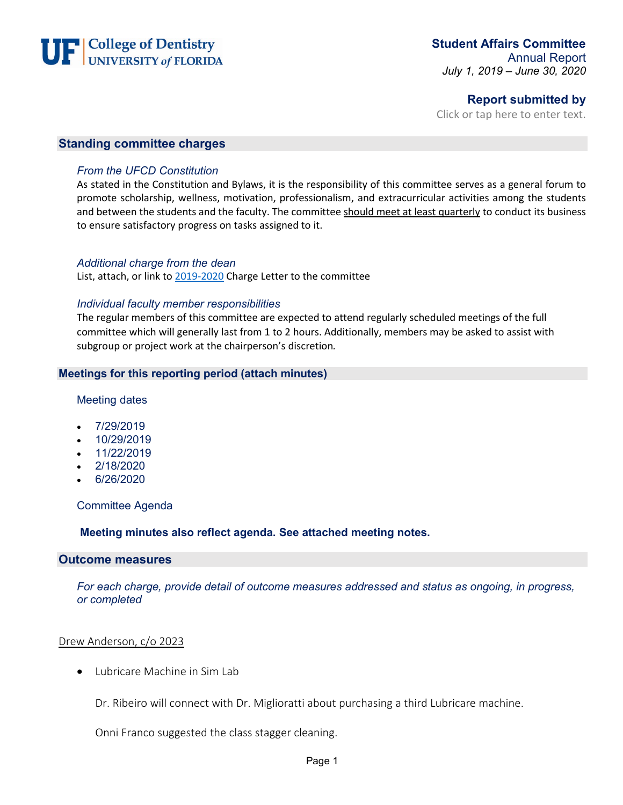

## **Report submitted by**

Click or tap here to enter text.

#### **Standing committee charges**

#### *From the UFCD Constitution*

As stated in the Constitution and Bylaws, it is the responsibility of this committee serves as a general forum to promote scholarship, wellness, motivation, professionalism, and extracurricular activities among the students and between the students and the faculty. The committee should meet at least quarterly to conduct its business to ensure satisfactory progress on tasks assigned to it.

#### *Additional charge from the dean*

List, attach, or link to [2019-2020](file://Ahcdfs.ahc.ufl.edu/files/DN/SHARE/Student%20Advocacy%20&%20Inclusion/Student%20Affairs%20Committee/Charge%20Letter/18-19%20Charge.pdf) Charge Letter to the committee

#### *Individual faculty member responsibilities*

The regular members of this committee are expected to attend regularly scheduled meetings of the full committee which will generally last from 1 to 2 hours. Additionally, members may be asked to assist with subgroup or project work at the chairperson's discretion*.*

#### **Meetings for this reporting period (attach minutes)**

#### Meeting dates

- 7/29/2019
- 10/29/2019
- 11/22/2019
- 2/18/2020
- 6/26/2020

Committee Agenda

**Meeting minutes also reflect agenda. See attached meeting notes.**

### **Outcome measures**

*For each charge, provide detail of outcome measures addressed and status as ongoing, in progress, or completed*

#### Drew Anderson, c/o 2023

• Lubricare Machine in Sim Lab

Dr. Ribeiro will connect with Dr. Miglioratti about purchasing a third Lubricare machine.

Onni Franco suggested the class stagger cleaning.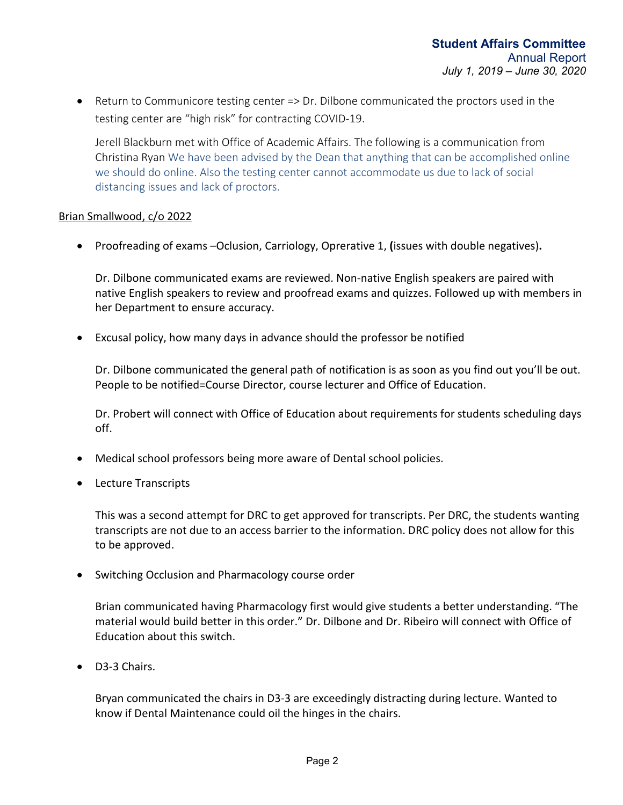• Return to Communicore testing center => Dr. Dilbone communicated the proctors used in the testing center are "high risk" for contracting COVID-19.

Jerell Blackburn met with Office of Academic Affairs. The following is a communication from Christina Ryan We have been advised by the Dean that anything that can be accomplished online we should do online. Also the testing center cannot accommodate us due to lack of social distancing issues and lack of proctors.

## Brian Smallwood, c/o 2022

• Proofreading of exams –Oclusion, Carriology, Oprerative 1, **(**issues with double negatives)**.** 

Dr. Dilbone communicated exams are reviewed. Non-native English speakers are paired with native English speakers to review and proofread exams and quizzes. Followed up with members in her Department to ensure accuracy.

• Excusal policy, how many days in advance should the professor be notified

Dr. Dilbone communicated the general path of notification is as soon as you find out you'll be out. People to be notified=Course Director, course lecturer and Office of Education.

Dr. Probert will connect with Office of Education about requirements for students scheduling days off.

- Medical school professors being more aware of Dental school policies.
- Lecture Transcripts

This was a second attempt for DRC to get approved for transcripts. Per DRC, the students wanting transcripts are not due to an access barrier to the information. DRC policy does not allow for this to be approved.

• Switching Occlusion and Pharmacology course order

Brian communicated having Pharmacology first would give students a better understanding. "The material would build better in this order." Dr. Dilbone and Dr. Ribeiro will connect with Office of Education about this switch.

• D3-3 Chairs.

Bryan communicated the chairs in D3-3 are exceedingly distracting during lecture. Wanted to know if Dental Maintenance could oil the hinges in the chairs.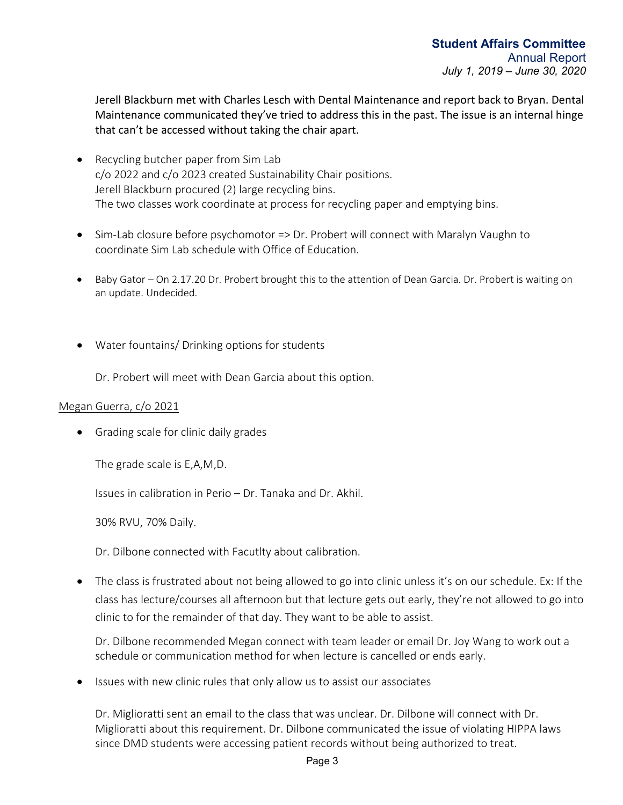Jerell Blackburn met with Charles Lesch with Dental Maintenance and report back to Bryan. Dental Maintenance communicated they've tried to address this in the past. The issue is an internal hinge that can't be accessed without taking the chair apart.

- Recycling butcher paper from Sim Lab c/o 2022 and c/o 2023 created Sustainability Chair positions. Jerell Blackburn procured (2) large recycling bins. The two classes work coordinate at process for recycling paper and emptying bins.
- Sim-Lab closure before psychomotor => Dr. Probert will connect with Maralyn Vaughn to coordinate Sim Lab schedule with Office of Education.
- Baby Gator On 2.17.20 Dr. Probert brought this to the attention of Dean Garcia. Dr. Probert is waiting on an update. Undecided.
- Water fountains/ Drinking options for students

Dr. Probert will meet with Dean Garcia about this option.

## Megan Guerra, c/o 2021

• Grading scale for clinic daily grades

The grade scale is E,A,M,D.

Issues in calibration in Perio – Dr. Tanaka and Dr. Akhil.

30% RVU, 70% Daily.

Dr. Dilbone connected with Facutlty about calibration.

• The class is frustrated about not being allowed to go into clinic unless it's on our schedule. Ex: If the class has lecture/courses all afternoon but that lecture gets out early, they're not allowed to go into clinic to for the remainder of that day. They want to be able to assist.

Dr. Dilbone recommended Megan connect with team leader or email Dr. Joy Wang to work out a schedule or communication method for when lecture is cancelled or ends early.

• Issues with new clinic rules that only allow us to assist our associates

Dr. Miglioratti sent an email to the class that was unclear. Dr. Dilbone will connect with Dr. Miglioratti about this requirement. Dr. Dilbone communicated the issue of violating HIPPA laws since DMD students were accessing patient records without being authorized to treat.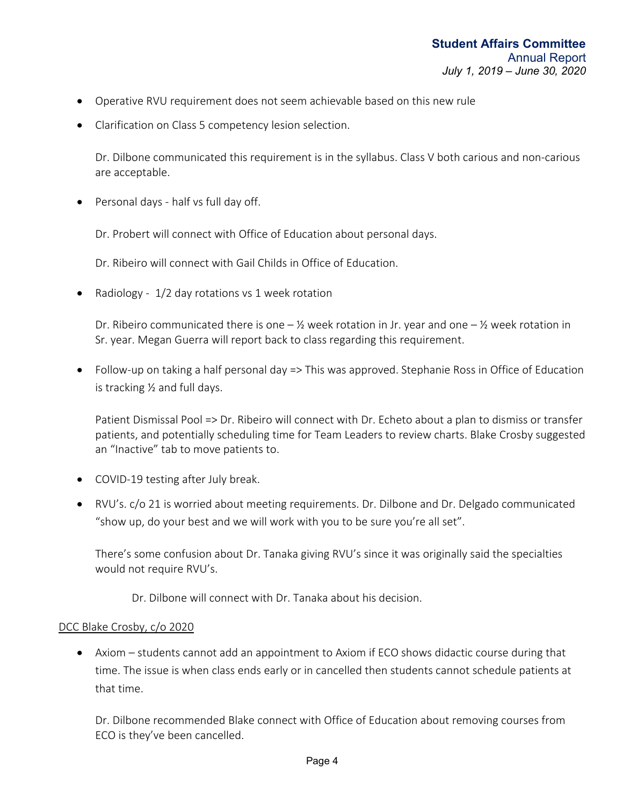- Operative RVU requirement does not seem achievable based on this new rule
- Clarification on Class 5 competency lesion selection.

Dr. Dilbone communicated this requirement is in the syllabus. Class V both carious and non-carious are acceptable.

• Personal days - half vs full day off.

Dr. Probert will connect with Office of Education about personal days.

Dr. Ribeiro will connect with Gail Childs in Office of Education.

• Radiology - 1/2 day rotations vs 1 week rotation

Dr. Ribeiro communicated there is one  $-\frac{1}{2}$  week rotation in Jr. year and one  $-\frac{1}{2}$  week rotation in Sr. year. Megan Guerra will report back to class regarding this requirement.

• Follow-up on taking a half personal day => This was approved. Stephanie Ross in Office of Education is tracking ½ and full days.

Patient Dismissal Pool => Dr. Ribeiro will connect with Dr. Echeto about a plan to dismiss or transfer patients, and potentially scheduling time for Team Leaders to review charts. Blake Crosby suggested an "Inactive" tab to move patients to.

- COVID-19 testing after July break.
- RVU's. c/o 21 is worried about meeting requirements. Dr. Dilbone and Dr. Delgado communicated "show up, do your best and we will work with you to be sure you're all set".

There's some confusion about Dr. Tanaka giving RVU's since it was originally said the specialties would not require RVU's.

Dr. Dilbone will connect with Dr. Tanaka about his decision.

#### DCC Blake Crosby, c/o 2020

• Axiom – students cannot add an appointment to Axiom if ECO shows didactic course during that time. The issue is when class ends early or in cancelled then students cannot schedule patients at that time.

Dr. Dilbone recommended Blake connect with Office of Education about removing courses from ECO is they've been cancelled.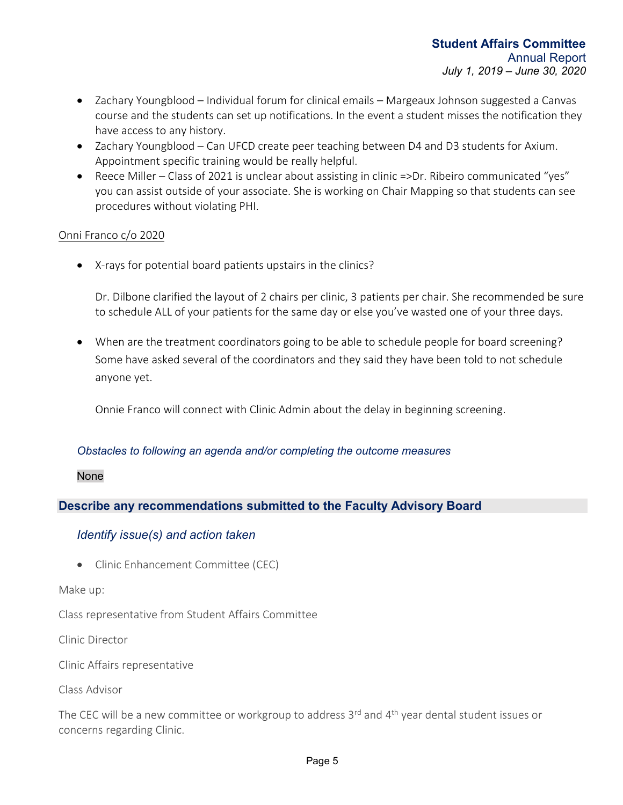- Zachary Youngblood Individual forum for clinical emails Margeaux Johnson suggested a Canvas course and the students can set up notifications. In the event a student misses the notification they have access to any history.
- Zachary Youngblood Can UFCD create peer teaching between D4 and D3 students for Axium. Appointment specific training would be really helpful.
- Reece Miller Class of 2021 is unclear about assisting in clinic =>Dr. Ribeiro communicated "yes" you can assist outside of your associate. She is working on Chair Mapping so that students can see procedures without violating PHI.

## Onni Franco c/o 2020

• X-rays for potential board patients upstairs in the clinics?

Dr. Dilbone clarified the layout of 2 chairs per clinic, 3 patients per chair. She recommended be sure to schedule ALL of your patients for the same day or else you've wasted one of your three days.

• When are the treatment coordinators going to be able to schedule people for board screening? Some have asked several of the coordinators and they said they have been told to not schedule anyone yet.

Onnie Franco will connect with Clinic Admin about the delay in beginning screening.

## *Obstacles to following an agenda and/or completing the outcome measures*

#### None

## **Describe any recommendations submitted to the Faculty Advisory Board**

## *Identify issue(s) and action taken*

• Clinic Enhancement Committee (CEC)

#### Make up:

Class representative from Student Affairs Committee

Clinic Director

Clinic Affairs representative

Class Advisor

The CEC will be a new committee or workgroup to address  $3<sup>rd</sup>$  and  $4<sup>th</sup>$  year dental student issues or concerns regarding Clinic.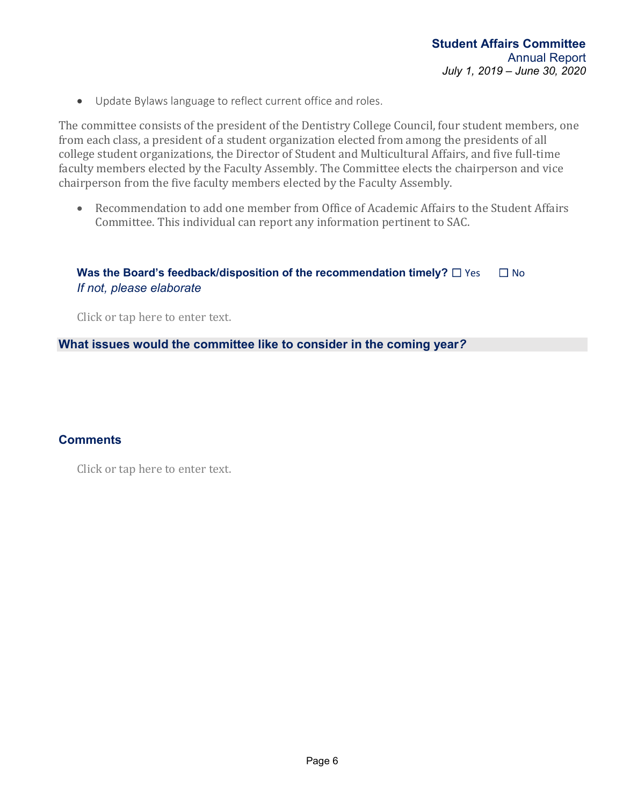• Update Bylaws language to reflect current office and roles.

The committee consists of the president of the Dentistry College Council, four student members, one from each class, a president of a student organization elected from among the presidents of all college student organizations, the Director of Student and Multicultural Affairs, and five full-time faculty members elected by the Faculty Assembly. The Committee elects the chairperson and vice chairperson from the five faculty members elected by the Faculty Assembly.

• Recommendation to add one member from Office of Academic Affairs to the Student Affairs Committee. This individual can report any information pertinent to SAC.

# **Was the Board's feedback/disposition of the recommendation timely?**  $\Box$  Yes  $\Box$  No *If not, please elaborate*

Click or tap here to enter text.

**What issues would the committee like to consider in the coming year***?*

## **Comments**

Click or tap here to enter text.